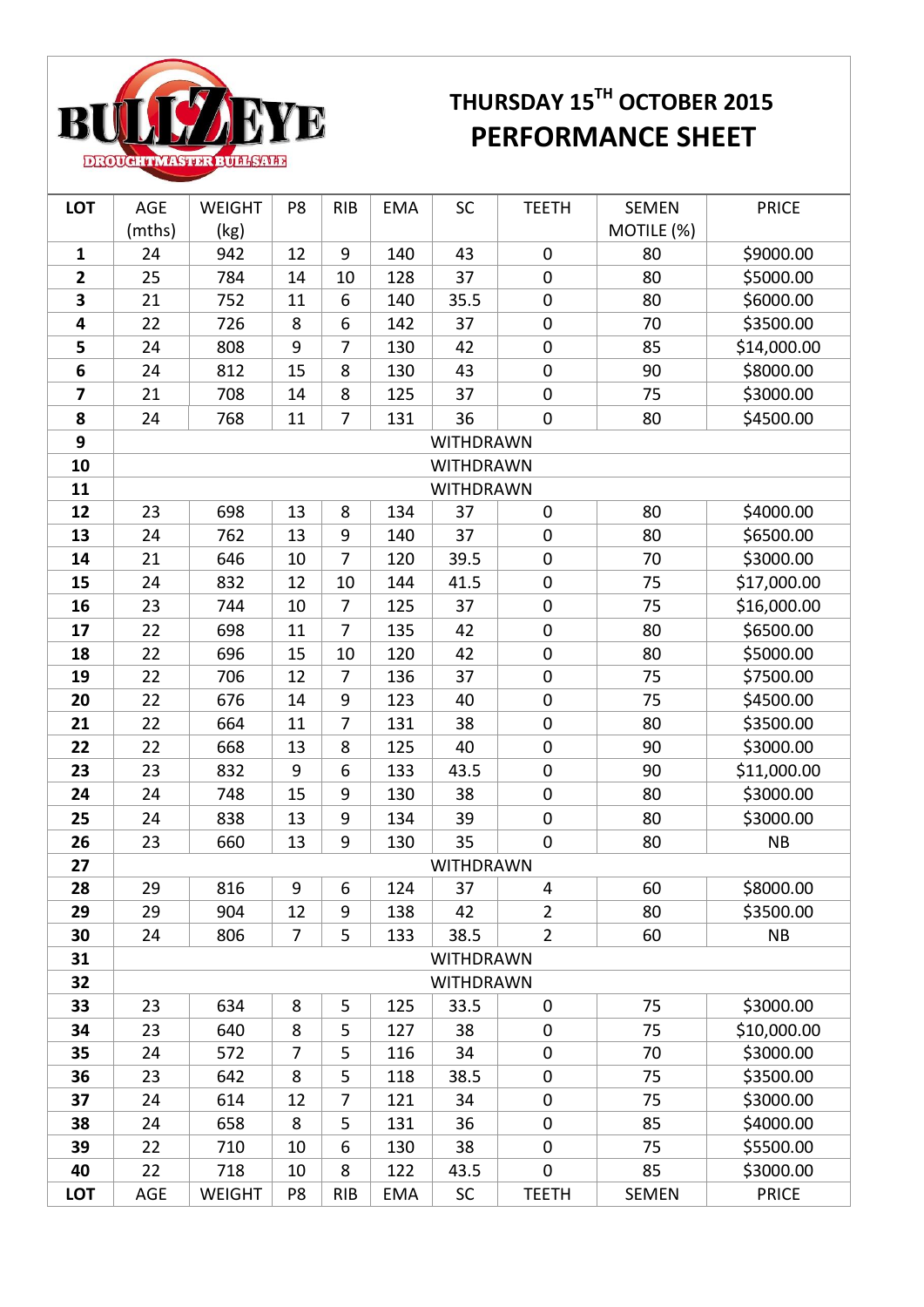

## **BULLYE THURSDAY 15<sup>TH</sup> OCTOBER 2015**

| <b>LOT</b>   | AGE              | <b>WEIGHT</b> | P8             | <b>RIB</b>     | <b>EMA</b> | SC               | <b>TEETH</b>            | <b>SEMEN</b> | <b>PRICE</b> |  |
|--------------|------------------|---------------|----------------|----------------|------------|------------------|-------------------------|--------------|--------------|--|
|              | (mths)           | (kg)          |                |                |            |                  |                         | MOTILE (%)   |              |  |
| $\mathbf{1}$ | 24               | 942           | 12             | 9              | 140        | 43               | $\mathbf 0$             | 80           | \$9000.00    |  |
| 2            | 25               | 784           | 14             | 10             | 128        | 37               | $\pmb{0}$               | 80           | \$5000.00    |  |
| 3            | 21               | 752           | 11             | 6              | 140        | 35.5             | $\mathbf 0$             | 80           | \$6000.00    |  |
| 4            | 22               | 726           | 8              | 6              | 142        | 37               | $\pmb{0}$               | 70           | \$3500.00    |  |
| 5            | 24               | 808           | 9              | $\overline{7}$ | 130        | 42               | $\mathbf 0$             | 85           | \$14,000.00  |  |
| 6            | 24               | 812           | 15             | 8              | 130        | 43               | $\boldsymbol{0}$        | 90           | \$8000.00    |  |
| 7            | 21               | 708           | 14             | 8              | 125        | 37               | $\mathbf 0$             | 75           | \$3000.00    |  |
| 8            | 24               | 768           | 11             | 7              | 131        | 36               | $\pmb{0}$               | 80           | \$4500.00    |  |
| 9            | WITHDRAWN        |               |                |                |            |                  |                         |              |              |  |
| 10           | WITHDRAWN        |               |                |                |            |                  |                         |              |              |  |
| 11           | <b>WITHDRAWN</b> |               |                |                |            |                  |                         |              |              |  |
| 12           | 23               | 698           | 13             | 8              | 134        | 37               | $\mathbf 0$             | 80           | \$4000.00    |  |
| 13           | 24               | 762           | 13             | 9              | 140        | 37               | $\boldsymbol{0}$        | 80           | \$6500.00    |  |
| 14           | 21               | 646           | 10             | $\overline{7}$ | 120        | 39.5             | $\pmb{0}$               | 70           | \$3000.00    |  |
| 15           | 24               | 832           | 12             | 10             | 144        | 41.5             | $\pmb{0}$               | 75           | \$17,000.00  |  |
| 16           | 23               | 744           | 10             | $\overline{7}$ | 125        | 37               | $\pmb{0}$               | 75           | \$16,000.00  |  |
| 17           | 22               | 698           | 11             | 7              | 135        | 42               | $\pmb{0}$               | 80           | \$6500.00    |  |
| 18           | 22               | 696           | 15             | 10             | 120        | 42               | $\boldsymbol{0}$        | 80           | \$5000.00    |  |
| 19           | 22               | 706           | 12             | 7              | 136        | 37               | $\pmb{0}$               | 75           | \$7500.00    |  |
| 20           | 22               | 676           | 14             | 9              | 123        | 40               | $\mathbf 0$             | 75           | \$4500.00    |  |
| 21           | 22               | 664           | 11             | $\overline{7}$ | 131        | 38               | $\pmb{0}$               | 80           | \$3500.00    |  |
| 22           | 22               | 668           | 13             | 8              | 125        | 40               | $\boldsymbol{0}$        | 90           | \$3000.00    |  |
| 23           | 23               | 832           | 9              | 6              | 133        | 43.5             | $\pmb{0}$               | 90           | \$11,000.00  |  |
| 24           | 24               | 748           | 15             | 9              | 130        | 38               | $\mathbf 0$             | 80           | \$3000.00    |  |
| 25           | 24               | 838           | 13             | 9              | 134        | 39               | $\boldsymbol{0}$        | 80           | \$3000.00    |  |
| 26           | 23               | 660           | 13             | 9              | 130        | 35               | $\pmb{0}$               | 80           | NB           |  |
| 27           |                  |               |                |                |            | WITHDRAWN        |                         |              |              |  |
| 28           | 29               | 816           | 9              | 6              | 124        | 37               | $\overline{\mathbf{4}}$ | 60           | \$8000.00    |  |
| 29           | 29               | 904           | 12             | 9              | 138        | 42               | $\overline{2}$          | 80           | \$3500.00    |  |
| 30           | 24               | 806           | $\overline{7}$ | 5              | 133        | 38.5             | $\overline{2}$          | 60           | <b>NB</b>    |  |
| 31           |                  |               |                |                |            | WITHDRAWN        |                         |              |              |  |
| 32           |                  |               |                |                |            | <b>WITHDRAWN</b> |                         |              |              |  |
| 33           | 23               | 634           | 8              | 5              | 125        | 33.5             | $\mathbf 0$             | 75           | \$3000.00    |  |
| 34           | 23               | 640           | 8              | 5              | 127        | 38               | $\mathbf 0$             | 75           | \$10,000.00  |  |
| 35           | 24               | 572           | $\overline{7}$ | 5              | 116        | 34               | $\mathbf 0$             | 70           | \$3000.00    |  |
| 36           | 23               | 642           | 8              | 5              | 118        | 38.5             | $\pmb{0}$               | 75           | \$3500.00    |  |
| 37           | 24               | 614           | 12             | 7              | 121        | 34               | $\mathbf 0$             | 75           | \$3000.00    |  |
| 38           | 24               | 658           | 8              | 5              | 131        | 36               | $\boldsymbol{0}$        | 85           | \$4000.00    |  |
| 39           | 22               | 710           | 10             | 6              | 130        | 38               | $\mathbf 0$             | 75           | \$5500.00    |  |
| 40           | 22               | 718           | 10             | 8              | 122        | 43.5             | $\pmb{0}$               | 85           | \$3000.00    |  |
| <b>LOT</b>   | AGE              | <b>WEIGHT</b> | P <sub>8</sub> | <b>RIB</b>     | <b>EMA</b> | SC               | <b>TEETH</b>            | <b>SEMEN</b> | <b>PRICE</b> |  |